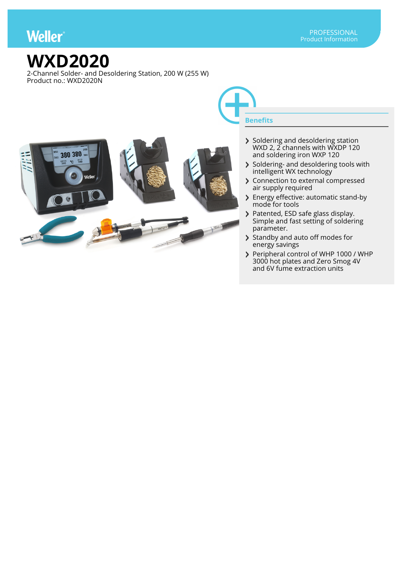## **Weller**

## **WXD2020**

2-Channel Solder- and Desoldering Station, 200 W (255 W) Product no.: WXD2020N



- Soldering and desoldering station WXD 2, 2 channels with WXDP 120 and soldering iron WXP 120
- Soldering- and desoldering tools with intelligent WX technology
- > Connection to external compressed air supply required
- > Energy effective: automatic stand-by mode for tools
- Patented, ESD safe glass display. Simple and fast setting of soldering parameter.
- Standby and auto off modes for energy savings
- Peripheral control of WHP 1000 / WHP 3000 hot plates and Zero Smog 4V and 6V fume extraction units